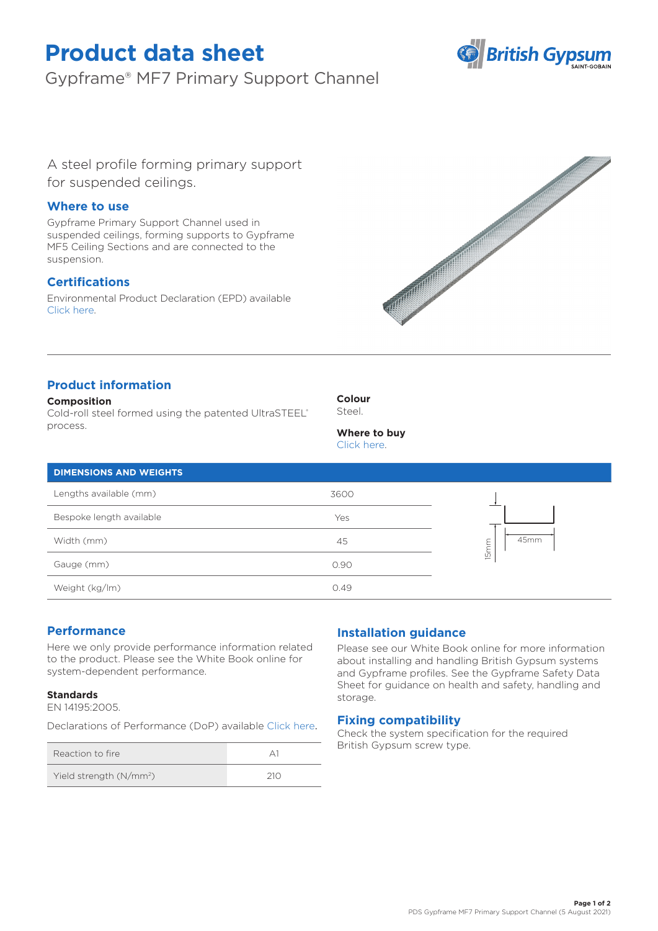# **Product data sheet**

Gypframe® MF7 Primary Support Channel



A steel profile forming primary support for suspended ceilings.

## **Where to use**

Gypframe Primary Support Channel used in suspended ceilings, forming supports to Gypframe MF5 Ceiling Sections and are connected to the suspension.

# **Certifications**

Environmental Product Declaration (EPD) available [Click here.](https://www.british-gypsum.com/EPD)



# **Product information**

### **Composition**

Cold-roll steel formed using the patented UltraSTEEL® process.

**Colour**

Steel.

**Where to buy**

|  | Click here. |  |
|--|-------------|--|
|  |             |  |

| <b>DIMENSIONS AND WEIGHTS</b> |      |                          |
|-------------------------------|------|--------------------------|
| Lengths available (mm)        | 3600 |                          |
| Bespoke length available      | Yes  |                          |
| Width (mm)                    | 45   | 45mm<br>15 <sub>mm</sub> |
| Gauge (mm)                    | 0.90 |                          |
| Weight (kg/lm)                | 0.49 |                          |

## **Performance**

Here we only provide performance information related to the product. Please see the White Book online for system-dependent performance.

### **Standards**

EN 14195:2005.

Declarations of Performance (DoP) availabl[e Click here](https://www.british-gypsum.com/DoP).

| Reaction to fire                    |     |
|-------------------------------------|-----|
| Yield strength (N/mm <sup>2</sup> ) | 210 |

## **Installation guidance**

Please see our White Book online for more information about installing and handling British Gypsum systems and Gypframe profiles. See the Gypframe Safety Data Sheet for guidance on health and safety, handling and storage.

## **Fixing compatibility**

Check the system specification for the required British Gypsum screw type.